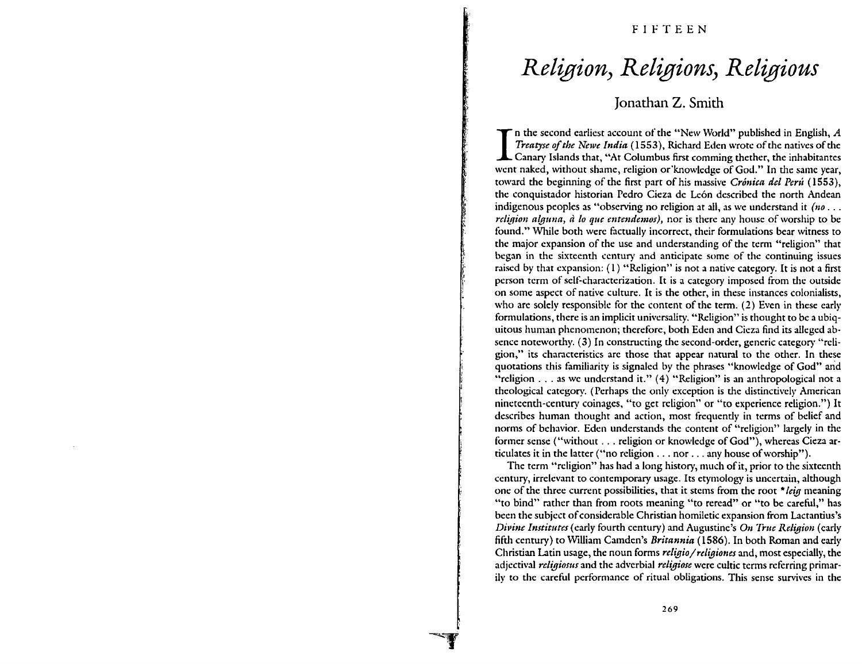## *Religion) Religions) Religious*

### Jonathan Z, Smith

In the second earliest account of the "New World" published in English, A<br>Treatyse of the Newe India (1553), Richard Eden wrote of the natives of the<br>Canary Islands that, "At Columbus first comming thether, the inhabitante n the second earliest account of the "New World" published in English, A *Treatyse of the Newe India* (1553), Richard Eden wrote of the natives of the went naked, without shame, religion or'knowledge of God," In the same year, toward the beginning of the first part of his massive *Crónica del Perú* (1553), the conquistador historian Pedro Cieza de León described the north Andean indigenous peoples as "observing no religion at all, as we understand it *(no .* .. *rcligion alguna, à lo que entendemos),* nor is there any house of worship to be found." While both were factually incorrect, their formulations bear witness to the major expansion of the use and understanding of the term "religion" that began in the sixteenth century and anticipate some of the continuing issues raised by that expansion: (I) "Religion" is not a native category. It is not a first person term of selt:characterization. It is a category imposed from the outside on some aspect of native culture. It is the other, in these instances colonialists, who arc solely responsible for the content of the term. (2) Even in these early formulations, there is an implicit universality. "Religion" is thought to be a ubiquitous human phenomenon; therefore, both Eden and Cieza find its alleged absence noteworthy. (3) In constructing the second-order, generic category "religion," its characteristics are those that appear natural to the other. In these quotations this familiarity is signaled by the phrases "knowledge of God" and "religion . . . as we understand it." (4) "Religion" is an anthropological not a theological category. (Perhaps the only exception is the distinctively American nineteenth-century coinages, "to get religion" or "to experience religion.") It describes human thought and action, most frequendy in terms of belief and norms of behavior. Eden understands the content of "religion" largely in the former sense ("without . . . religion or knowledge of God"), whereas Cieza articulates it in the latter ("no religion  $\ldots$  nor  $\ldots$  any house of worship").

The term "religion" has had a long history, much of it, prior to the sixteenth century, irrelevant to contemporary usage. Its etymology is uncertain, although one of the three current possibilities, that it stems from dle root \* *leig* meaning "to bind" rather than from roots meaning "to reread" or "to be careful," has been the subject of considerable Christian homiletic expansion from Lactantius's *Divine Institutes* (early fourth century) and Augustine's On *True Religion* (early fifth century) to William Camden's *Britannia* (1586). In both Roman and early Christian Latin usage, the noun forms *religio/ religiones* and, most especially, the adjectival *religiosus* and the adverbial *religiose* were cultic terms referring primarily to the careful performance of ritual obligations. This sense survives in the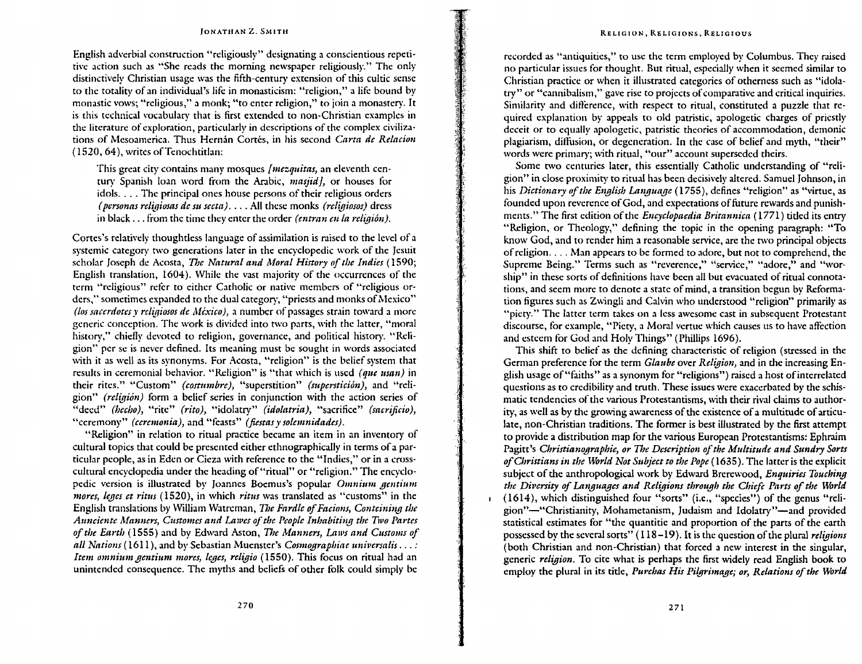#### RELIGION, RELIGIONS, RELIGIOUS

#### JONATHAN Z. SMITH

English adverbial construction "religiously" designating a conscientious repetitive action such as "She reads the morning newspaper religiously." The only distinctively Christian usage was the fifth-century extension of this cultic sense to the totality of an individual's life in monasticism: "religion," a life bound by monastic vows; "religious," a monk; "to enter religion," to join a monastery. It is this technical vocabulary that is first extended to non-Christian examples in the literature of exploration, particularly in descriptions of the complex civilizations of Mesoamerica. Thus Hernán Cortés, in his second *Carta de Relacion*  $(1520, 64)$ , writes of Tenochtitlan:

This great city contains many mosques *[mezquitas*, an eleventh century Spanish loan word from the Arabic, *masjidj,* or houses tor idols. . . . The principal ones house persons of their religious orders *(personas religiosas de su secta).* . . . All these monks *(religiosos)* dress in black . . . from the time they enter the order *(entran en la religión)*.

Cortes's relatively thoughtless language of assimilation is raised to the level of a systemic category two generations later in the encyclopedic work of the Jesuit scholar Joseph de Acosta, *The Natural and Moral History of the Indies* (1590; English translation, 1604). While the vast majority of the occurrences of the term "religious" refer to either Catholic or native members of "religious orders," sometimes expanded to the dual category, "priests and monks of Mexico" *(los sacerdotes y religiosos de México)*, a number of passages strain toward a more generic conception. The work is divided into two parts, with the latter, "moral history," chiefly devoted to religion, governance, and political history. "Religion" per se is never defined. Its meaning must be sought in words associated with it as well as its synonyms, For Acosta, "religion" is the belief system that results in ceremonial behavior. "Religion" is "that which is used *(que usan)* in their rites." "Custom" *(costumbre)*, "superstition" *(superstición)*, and "religion" *(religión)* form a belief series in conjunction with the action series of "deed" *(hecho),* "rite" *(rito),* "idolatry" *(idolatria),* "sacrifice" *(sacrificio),*  "ceremony" *(ceremonia)*, and "feasts" *(fiestas y solemnidades)*.

"Religion" in relation to ritual practice became an item in an inventory of cultural topics that could be presented either ethnographically in terms of a particular people, as in Eden or Cieza with reference to the "Indies," or in a crosscultural encyclopedia under the heading of "ritual" or "religion." The encyclopedic version is illustrated by Joannes Boemus's popular *Omnium gentium mores, leges et ritus* (1520), in which *ritus* was translated as "customs" in the English translations by William Watreman, *The Fardle of Facions*, *Conteining the* Aunciente Manners, Customes and Lawes of the People Inhabiting the Two Partes of the Earth (1555) and by Edward Aston, *The Manners, Laws and Customs of all Nations* (1611), and by Sebastian Muenster's *Cosmographiae universalis* . . . : *Item omnium gentium mores, leges, religio* (1550). This focus on ritual had an unintended consequence. The myths and beliefs of other folk could simply be

recorded as "antiquities," to use the term employed by Columbus. They raised no particular issues for thought. But ritual, especially when it seemed similar to Christian practice or when it illustrated categories of otherness such as "idolatry" or "cannibalism," gave rise to projects of comparative and critical inquiries. Similarity and difference, with respect to ritual, constituted a puzzle that required explanation by appeals to old patristic, apologetic charges of priestly deccit or to equally apologetic, patristic theories of accommodation, demonic plagiarism, ditlusion, or degeneration. In the case of belief and myth, "their" words were primary; with ritual, "our" account superseded theirs.

Some two centuries later, this essentially Catholic understanding of "religion" in dose proximity to ritual has been decisively altered. Samuel Johnson, in his *Dictionary of the English Language* (1755), defines "religion" as "virtue, as founded upon reverence of God, and expectations of future rewards and punishments." The first edition of the *Encyclopaedia Britannica* (1771) titled its entry "Religion, or Theology," defining the topic in the opening paragraph: "To know God, and to render him a reasonable service, arc the two principal objects of religion, ... Man appears to be formed to adore, but not to comprehend, the Supreme Being." Terms such as "reverence," "service," "adore," and "worship" in these sorts of definitions have been all but evacuated of ritual connotations, and seem more to denote a state of mind, a transition begun by Reformation figures such as Zwingli and Calvin who understood "religion" primarily as "piety." The latter term takes on a less awesome cast in subsequent Protestant discourse, for example, "Piety, a Moral vertue which causes us to have affection and esteem for God and Holy Things" (Phillips 1696),

This shift to belief as the defining characteristic of religion (stressed in the German preference for the term *Glaube* over *Religion*, and in the increasing English usage of "faiths" as a synonym for "religions") raised a host of interrelated questions as to credibility and truth. These issues were exacerbated by the schismatic tendcncies of the various Protestantisms, with their rival claims to authority, as well as by the growing awareness of the existence of a multitude of articulate, non-Christian traditions. The former is best illustrated by the first attempt to provide a distribution map for the various European Protestantisms: Ephraim Pagitt's *Christianographie, or The Description of the Multitude and Sundry Sorts* of Christians in the World Not Subject to the Pope (1635). The latter is the explicit subject of the anthropological work by Edward Brerewood, *Enquiries Touching the Diversity of Languages and Religions through the Chiefe Parts of the World* (1614), which distinguished four "sorts" (i.e., "species") of the genus "religion"-"Christianity, Mohametanism, Judaism and Idolatry"-and provided statistical estimates for "the quantitie and proportion of the pans of the earth possessed by the several sorts" (1IB-19).lt is the qucstion of the plural *religions*  (both Christian and non-Christian) that forced a new interest in the singular, generic *religion.* To cite what is perhaps the first widely rcad English book to employ the plural in its title, *Purchas His Pilgrimage; or, Relations of the World* 

"

<sup>~</sup>'.

Ť.

,  $\cdot$  .

 $\cdot$  II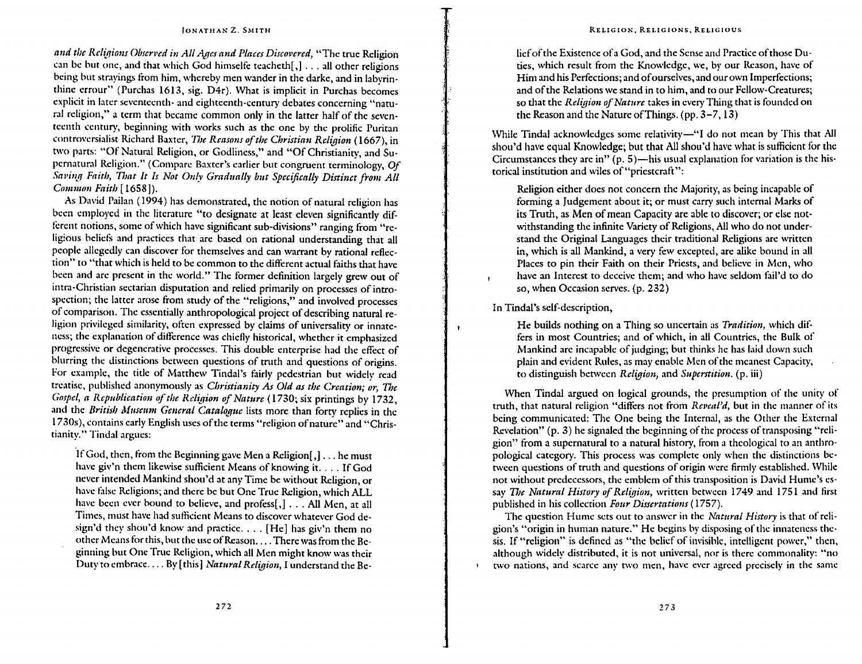#### JONATHAN Z. SMITH

and the Religions Observed in All Ages and Places Discovered, "The true Religion can be but one, and that which God himse1fe teacheth[,] ... all other religions being but strayings from him, whereby men wander in the darke, and in labvrinthine errour" (Purchas 1613, sig. D4r). What is implicit in Purchas becomes explicit in later seventeenth- and eighteenth-century debates concerning "natural religion," a term that became common only in the latter half of the seventeenth century, beginning with works such as the one by the prolific Puritan controversialist Richard Baxter, The Reasons of the Christian Religion (1667), in two parts: "Of Natural Religion, or Godliness," and "Of Christianity, and Supernatural Religion." (Compare Baxter's earlier but congruent terminology, *Of Saving Faith, That It Is Not Only Gradually but Specifically Distinct from All Common Faith* [1658]).

As David Pailan (1994) has demonstrated, the notion of natural religion has been employed in the literature "to designate at least cleven significantly different notions, some of which have significant sub-divisions" ranging from "religious beliefs and practices that arc based on rational understanding that all people allegedly can discover for themselves and can warrant by rational reflection" to "that which is held to be common to the different actual faiths that have been and arc present in the world." The former definition largely grew out of intra-Christian sectarian disputation and relied primarily on processes of introspection; the latter arose from study of the "religions," and involved processes of comparison. The essentially anthropological project of describing natural religion privileged similarity, often expressed by claims of universality or innateness; the explanation of difference was chiefly historical, whether it emphasized progressive or degenerative processes. This double enterprise had the effect of blurring the distinctions between questions of truth and questions of origins. For example, the title of Matthew Tindal's fairly pedestrian but widely read treatise, published anonymously as *Christianity As Old as the Creation; or, The Gospel, a Republication of the Religion of Nature* (1730; six printings by 1732, and the *British Museum General Catalogue* lists more than forty replies in the I 730s), contains early English uses of the terms "religion of nature" and "Christianity." Tindal argues:

If God, then, from the Beginning gave Men a Religion $[,] \ldots$  he must have giv'n them likewise sufficient Means of knowing it. . . . If God never intended Mankind shou'd at any Time be without Religion, or have false Religions; and there be but One True Religion, which ALL have been ever bound to believe, and profess[,] . . . All Men, at all Times, must have had sufficient Means to discover whatever God design'd they shou'd know and practice. . . . [He] has giv'n them no other Means for this, but the usc of Reason .... There was from the Beginning but One Tme Religion, which all Men might know was their Duty to embrace.... By [this] *Natural Religion*, I understand the Be-

lief of the Existence of a God, and the Sense and Practice of those Duties, which result from the Knowledge, we, by our Reason, have of Him and his Perfections; and of ourselves, and our own Imperfections; and of the Relations we stand in to him, and to our Fellow-Creatures; so that the *Religion of Nature* takes in every Thing that is founded on the Reason and the Nature of Things. (pp. 3-7,13)

While Tindal acknowledges some relativity-"I do not mean by This that All shou'd have equal Knowledge; but that All shou'd have what is sufficient for the Circumstances they are in"  $(p, 5)$ —his usual explanation for variation is the historical institution and wiles of "priestcraft":

Religion either docs not concern the Majority, as being incapable of forming a Judgement about it; or must carry such internal Marks of its Truth, as Men of mean Capacity are able to discover; or else notwithstanding the infinite Variety of Religions, All who do not understand the Original Languages their traditional Religions arc written in, which is all Mankind, a very few excepted, are alike bound in all Places to pin their Faith on their Priests, and believe in Men, who have an Interest to deceive them; and who have seldom fail'd to do so, when Occasion serves. (p. 232)

In Tindal's self-description,

.1 i.

'J.

 $\cdot$ 

 $\mathbf{r}$ 

He builds nothing on a Thing so uncertain as *Tradition*, which differs in most Countries; and of which, in all Countries, the Bulk of Mankind arc incapable of judging; but thinks he has laid down such plain and evident Rules, as may enable Men of the meanest Capacity, to distinguish between *Religion*, and *Superstition*. (p. iii)

When Tindal argued on logical grounds, the presumption of the unity of truth, that natural religion "differs not from *Reveal'd*, but in the manner of its being communicated: The One being the Internal, as the Other the External Revelation" (p. 3) he signaled the beginning of the process of transposing "religion" from a supernatural to a natural history, from a theological to an anthropological category. This process was complete only when the distinctions between questions of truth and questions of origin were firmly established. While not without predecessors, the emblem of this transposition is David Hume's essay *The Natural History of Religion*, written between 1749 and 1751 and first published in his collection *Four Dissertations* (1757).

The question Hume sets out to answer in the *Natural History* is that of religion'S "origin in human nature." He begins by disposing of the innateness thesis. If "religion" is defined as "the belief of invisible, intelligent power," then, although widely distributed, it is not universal, nor is there commonality: "no two nations, and scarce any two men, have ever agreed precisely in the same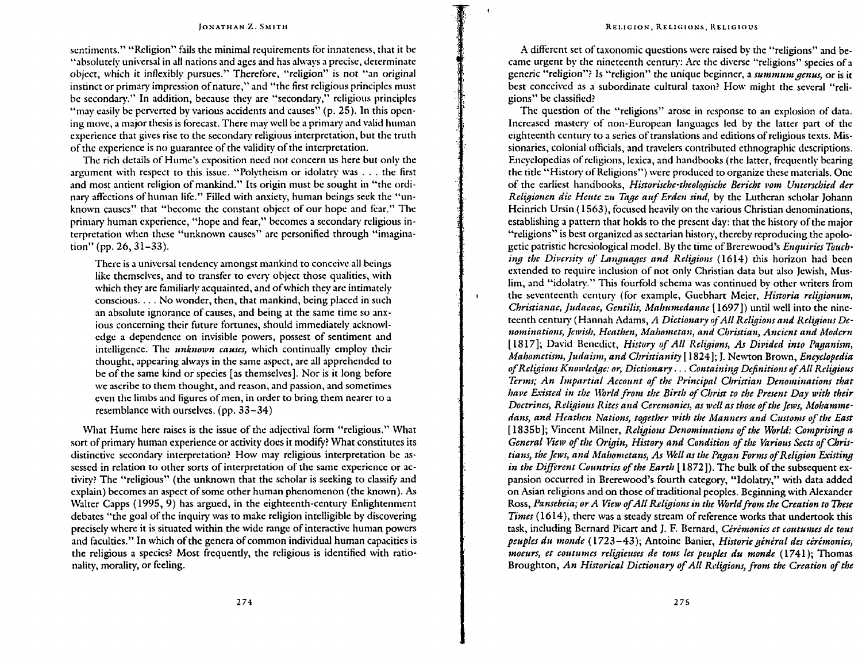$\Phi_{\rm c}$ 

 $\cdot$   $\cdot$ 

 $\mathbf{L}$ 

sentiments." "Religion" fails the minimal requirements for innateness, that it be "absolutely universal in all nations and ages and has always a precise, determinate object, which it inflexibly pursues." Therefore, "religion" is not "an original instinct or primary impression of nature," and "the first religious principles must be secondary." In addition, because they arc "secondary," religious principles "may easily be perverted by various accidents and causes" (p. 25). In this opening move, a major thesis is forecast. There may well be a primary and valid human experience that gives rise to the secondary religious interpretation, but the truth ofthe experience is no guarantee of the validity of the interpretation.

The rich details of Hume's exposition need not concern us here but only the argument with respect to this issue. "Polytheism or idolatry was ... the first and most antient religion of mankind." Its origin must be sought in "the ordinary affections of human lite." Filled with anxiety, human beings seck the "unknown causes" that "become the constant object of our hope and fear." The primary human experience, "hope and fear," becomes a secondary religious interpretation when these "unknown causes" arc personified through "imagination" (pp. 26, 31-33).

There is a universal tendency amongst mankind to conceive all beings like themselves, and to transfer to every object those qualities, with which they are familiarly acquainted, and of which they are intimately conscious .... No wonder, then, that mankind, being placed in such an absolute ignorance of causes, and being at the same time so anxious concerning their future fortunes, should immediately acknowledge a dependence on invisible powers, possest of sentiment and intelligence. The *unknown causes*, which continually employ their thought, appearing always in the same aspect, are all apprehended to be of the same kind or species [as themselves]. Nor is it long before we ascribe to them thought, and reason, and passion, and sometimes even the limbs and figures of men, in order to bring them nearer to a resemblance with ourselves. (pp. 33-34)

What Hume here raises is the issue of the adjectival form "religious." What sort of primary human experience or activity does it modify? What constitutes its distinctive secondary interpretation? How may religious interpretation be assessed in relation to other sorts of interpretation of the same experience or activity? The "religious" (the unknown that the scholar is seeking to classify and explain) becomes an aspect of some other human phenomenon (the known). As Walter Capps (1995, 9) has argued, in the eighteenth-century Enlightenment debates "the goal of the inquiry was to make religion intelligible by discovering precisely where it is situated within the wide range of interactive human powers and faculties." In which of the genera of common individual human capacities is the religious a species? Most frequently, the religious is identified with rationality, morality, or feeling.

A different set of taxonomic questions were raised by the "religions" and became urgent by the nineteenth century: Arc the diverse "religions" species of a generic "religion"? Is "religion" the unique beginner, a *summum genus*, or is it best conceived as a subordinate cultural taxon? How might the several "religions" be classified?

The question of the "religions" arose in response to an explosion of data. Increased mastery of non-European languages led by the latter part of the eighteenth century to a series of translations and editions of religious texts. Missionaries, colonial officials, and travelers contributed ethnographic descriptions. Encyclopedias of religions, lexica, and handbooks (the latter, frequently bearing the title "History of Religions") were produced to organize these materials. One of the earliest handbooks, Historische-theologische Bericht vom Unterschied der *Religionen die Heute zu Tage auf Erden sind*, by the Lutheran scholar Johann Heinrich Ursin (1563), focused heavily on the various Christian denominations, establishing a pattern that holds to the present day: that the history of the major "religions" is best organized as sectarian history, thereby reproducing the apologetic patristic heresiological model. By the time of Brerewood's *Enquiries Touching the Diversity of Languages and Religions* (1614) this horizon had been extended to require inclusion of not only Christian data but also Jewish, Muslim, and "idolatry." This fourfold schema was continued by other writers from the seventeenth century (for example, Guebhart Meier, *Historia religionum*, *Christianae, Judaeae, Gentilis, Mahumedanae* [1697]) until well into the nineteenth century (Hannah Adams, *A Dictionary of All Religions and Religious De*nominations, Jewish, Heathen, Mahometan, and Christian, Ancient and Modern [1817]; David Benedict, *History of All Religions, As Divided into Paganism*, *MaiJometism, jlldaism, and Christianity* [ 1824 J; J. Newton Brown, *Encyclopedia*  of Religious Knowledge: or, Dictionary . . . Containing Definitions of All Religious Terms; An Impartial Account of the Principal Christian Denominations that *have Existed in the Hbrld from the Birth of Christ to the Presmt Day with their*  Doctrines, Religious Rites and Ceremonies, as well as those of the Jews, Mohammedans, and Heathen Nations, together with the Manners and Customs of the East [1835b]; Vincent Milner, *Religious Denominations of the World: Comprising a* General View of the Origin, History and Condition of the Various Sects of Christians, the Jews, and Mahometans, As Well as the Pagan Forms of Religion Existing *in the Different Countries of the Earth* [1872]). The bulk of the subsequent expansion occurred in Brerewood's fourth category, "Idolatry," with data added on Asian religions and on those of traditional peoples. Beginning \vith Alexander Ross, *Pansebeia; or A View of All Religions in the World from the Creation to These Times* (1614), there was a steady stream of reference works that undertook this task, including Bernard Picart and J. F. Bernard, *Cérémonies et coutumes de tous* peuples du monde (1723-43); Antoine Banier, *Historie général des cérémonies*, moeurs, et coutumes religieuses de tous les peuples du monde (1741); Thomas Broughton, *An Historical Dictionary of All Religions, from the Creation of the*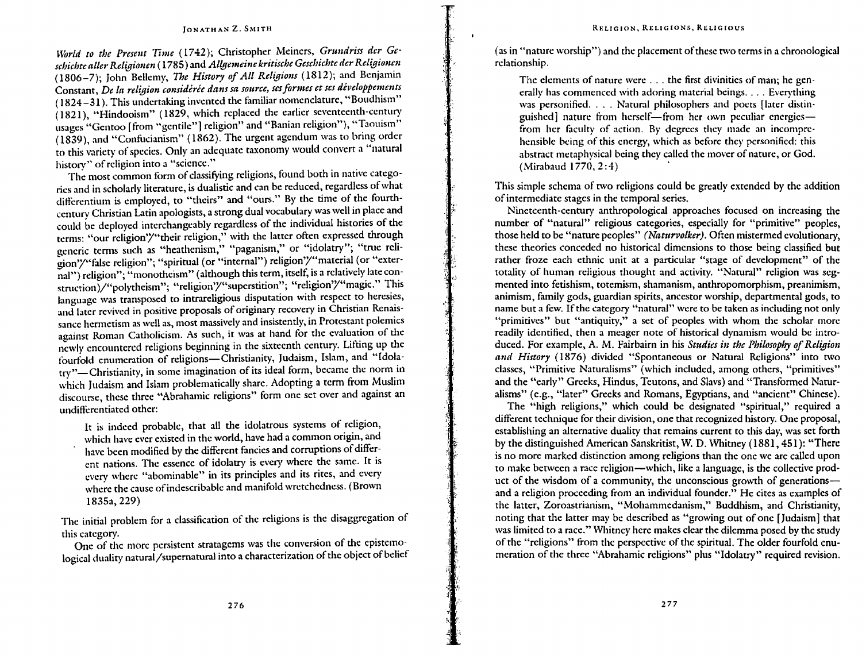*World to the Present Time* (1742); Christopher Meiners, *Grundriss der Ge*schichte aller Religionen (1785) and *Allgemeine kritische Geschichte der Religionen* (1806-7); John Bellemy, The *History of All Religiom* (1812); and Benjamin Constant, *De la religion considérée dans sa source, ses formes et ses développements* (1824-31). This undertaking invented the familiar nomenclature, "Boudhism" (1821), "Hindooism" (1829, which replaced the earlier seventeenth-century usages "Gentoo [from "gentile"] religion" and "Banian religion"), "Taouism" (1839), and "Confucianism" (1862). The urgent agendum was to bring order to this variety of species. Only an adequate taxonomy would convert a "natural history" of religion into a "science."

The most common form of classifying religions, found both in native categories and in scholarly literature, is dualistic and can be reduced, regardless of what ditferentium is employed, to "theirs" and "ours." By the time of the fourthcentury Christian Latin apologists, a strong dual vocabulary was well in place and could be deployed interchangeably regardless of the individual histories of the terms: "our religion'Y"their religion," with the latter often expressed through generic terms such as "heathenism," "paganism," or "idolatry"; "true religion'Y"false religion"; "spiritual (or "internal") religion'Y"material (or "external") religion"; "monotheism" (although this term, itself, is a relatively late construction)/"polytheism"; "religion'/"superstition"; "religion'/"magic." This language was transposed to intrareligious disputation with respect to heresies, and later revived in positive proposals of originary recovery in Christian Renaissance hermetism as well as, most massively and insistently, in Protestant polemics against Roman Catholicism. As such, it was at hand for the evaluation of the newly encountered religions beginning in the sixteenth century. Lifting up the fourfold enumeration of religions-Christianity, Judaism, Islam, and "Idolatry"-Christianity, in some imagination of its ideal form, became the norm in which Judaism and Islam problematically share. Adopting a term from Muslim discourse, these three "Abrahamic religions" form one set over and against an undifferentiated other:

It is indeed probable, that all the idolatrous systems of religion, which have ever existed in the world, have had a common origin, and have been modified by the different fancies and corruptions of different nations. The essence of idolatry is every where the same. It is every where "abominable" in its principles and its rites, and every where the cause ofindescribablc and manifold wretchedness. (Brown 1835a, 229)

The initial problem tor a classification of the religions is the disaggregation of this category.

One of the more persistent stratagems was the conversion of the epistemological duality natural/supernatural into a characterization of the object of belief (as in "nature worship") and the placement ofiliese two terms in a chronological relationship.

 $\ast$  .  $\cdot$  .

 $\bm{l}$ 

 $\cdot$  .

 $\mathbf{r}$ 

 $\mathbf{r}$  :

. ,':

The clements of nature were ... the first divinities of man; he generally has commenced with adoring material beings .... Everything was personified. . . . Natural philosophers and poets [later distinguished] nature from herself-from her own peculiar energiesfrom her faculty of action. By degrees they made an incomprehensible being of this energy, which as before they personified: this abstract metaphysical being they called the mover of nature, or God. (Mirabaud 1770, 2:4)

This simple schema of two religions could be greatly extended by the addition of intermediate stages in the temporal series.

Nineteenth-century anthropological approaches focused on increasing the number of "natural" religious categories, especially for "primitive" peoples, those held to be "nature peoples" *(Naturvolker)*. Often mistermed evolutionary, these theories conceded no historical dimensions to those being classified but rather froze each ethnic unit at a particular "stage of development" of the totality of human religious thought and activity. "Natural" religion was segmented into fetishism, totemism, shamanism, anthropomorphism, preanimism, animism, family gods, guardian spirits, ancestor worship, departmental gods, to name but a few. If the category "natural" were to be taken as including not only "primitives" but "antiquity," a set of peoples with whom the scholar more readily identified, then a meager note of historical dynamism would be introduced. For example, A. M. Fairbairn in his *Studies in the Philosophy of Religion* and History (1876) divided "Spontaneous or Natural Religions" into two classes, "Primitive Naturalisms" (which included, among others, "primitives" and the "early" Greeks, Hindus, Teutons, and Slavs) and "Transformed Naturalisms" (e.g., "later" Greeks and Romans, Egyptians, and "ancient" Chinese).

The "high religions," which could be designated "spiritual," required a different technique for their division, one that recognized history. One proposal, establishing an alternative duality that remains current to this day, was set forth by the distinguished American Sanskritist, W. D. Whitney (1881,451): "There is no more marked distinction among religions than the one we are called upon to make between a race religion-which, like a language, is the collective product of the wisdom of a community, the unconscious growth of generationsand a religion proceeding from an individual founder." He cites as examples of the latter, Zoroastrianism, "Mohammedanism," Buddhism, and Christianity, noting that the latter may be described as "growing out of one [Judaism] that was limited to a race." Whitney here makes clear the dilemma posed by the study of the "religions" from the perspective of the spiritual. The older fourfold enumeration of the three "Abrahamic religions" plus "Idolatry" required revision.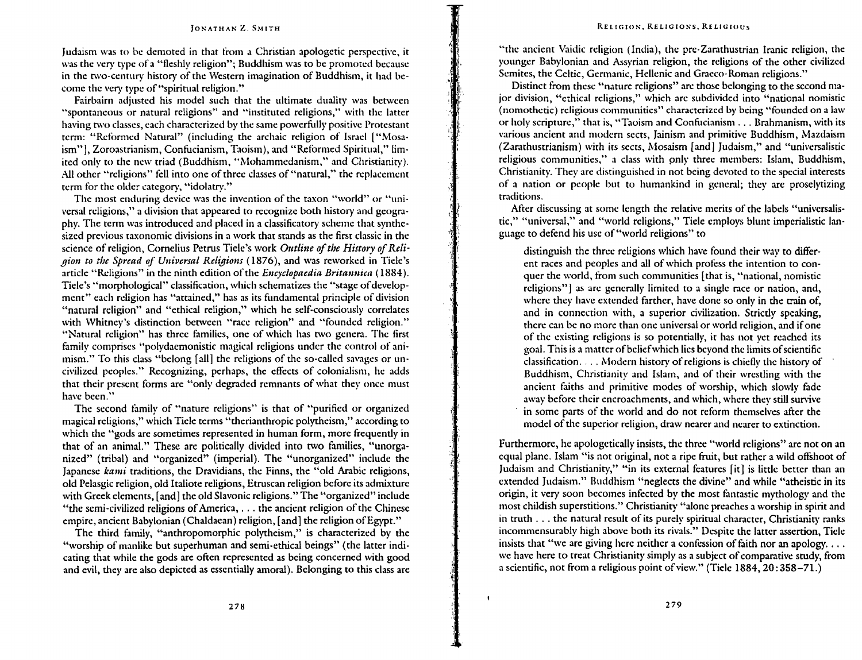#### RELIGION, RELIGIONS, RELIGIOUS

#### JONATHAN Z. SMITH

Judaism was to be demoted in that from a Christian apologetic perspective, it was the very type of a "fleshly religion"; Buddhism was to be promoted because in the two-century history of the Western imagination of Buddhism, it had become the very type of "spiritual religion."

Fairbairn adjusted his model such that the ultimate duality was between "spontaneous or natural religions" and "instituted religions," with the latter having two classes, each characterized by the same powerfully positive Protestant term: "Reformed Natural" (including the archaic religion of Israel ["Mosaism"], Zoroastrianism, Confucianism, Taoism), and "Reformed Spiritual," limited only to the new triad (Buddhism, "Mohammedanism," and Christianity). All other "religions" fell into one of three classes of "natural," the replacement term for the older category, "idolatry."

The most enduring device was the invention of the taxon "world" or "universal rcligions," a division that appeared to recognize both history and geography. The term was introduced and placed in a classificatory scheme that synthesized previous taxonomic divisions in a work that stands as the first classic in the science of religion, Cornelius Petrus Tiele's work *Outline of the History of Religion to the Spread of Universal Religions* (1876), and was reworked in Tiele's article "Religions" in the ninth edition of the *Encyclopaedia Britannica* (1884). Tiele's "morphological" classification, which schematizes the "stage of development" each religion has "attained," has as its fundamental principle of division "natura! religion" and "ethical religion," which he self-consciously correlates with Whitney's distinction between "race religion" and "founded religion." "Natural religion" has three families, one of which has two genera. The first family comprises "polydaemonistic magical religions under the control of animism." To this class "belong [all] the religions of the so-called savages or uncivilized peoples." Recognizing, perhaps, the effects of colonialism, he adds that their present forms arc "only degraded remnants of what they once must have been."

The second family of "nature religions" is that of "purified or organized magical religions," which Tiele terms "therianthropic polytheism," according to which the "gods are sometimes represented in human form, more frequently in that of an animal." These are politically divided into two families, "unorganized" (tribal) and "organized" (imperial). The "unorganized" include the Japanese *kami* traditions, the Dravidians, the Finns, the "old Arabic religions, old Pelasgic religion, old Italiote religions, Etruscan religion before its admixture with Greek elements, [and] the old Slavonic religions." The "organized" include "the semi-civilized religions of America, ... the ancient religion of the Chinese empire, ancient Babylonian (Chaldaean) religion, [and] the religion of Egypt. "

The third family, "anthropomorphic polytheism," is characterized by the "worship of manlike but superhuman and semi-ethical beings" (the latter indicating that while the gods arc often represented as being concerned with good and evil, they are also depicted as essentially amoral). Belonging to this class are

"the ancient Vaidic religion (India), the pre-Zarathustrian Iranic religion, the younger Babylonian and Assyrian religion, the religions of the other civilized Semites, the Celtic, Germanic, Hellenic and Graeco-Roman religions."

Distinct from these "nature religions" arc those belonging to the second major division, "ethical religions," which are subdivided into "national nomistic (nomothetic) religious communities" characterized by being "founded on a law or holy scripture," that is, "Taoism and Confucianism ... Brahmanism, with its various ancient and modern sects, Jainism and primitive Buddhism, Mazdaism (Zarathustrianism) with its sects, Mosaism [and] Judaism," and "universalistic religious communities," a class with only three members: Islam, Buddhism, Christianity. They arc distinguished in not being devoted to the special interests of a nation or people but to humankind in general; they are proselytizing traditions.

After discussing at some length the relative merits of the labels "universalistic," "universal," and "world religions," Tiele employs blunt imperialistic language to defend his use of "world religions" to

 $\cdot$  , :1 I  $\cdots$ i

 $\mathfrak{f}$  .

I.

distinguish the three religions which have found their way to different races and peoples and all of which profess the intention to conquer the world, from such communities [that is, "national, nomistic religions"] as are generally limited to a single race or nation, and, where they have extended farther, have done so only in the train of, and in connection with, a superior civilization. Strictly speaking, there can be no more than one universal or world religion, and if one of the existing religions is so potentially, it has not yet reached its goal. This is a matter of belief which lies beyond the limits of scientific classification .... Modern history of religions is chiefly the history of Buddhism, Christianity and Islam, and of their wrestling with the ancient faiths and primitive modes of worship, which slowly fade away before their encroachments, and which, where they still survive in some parts of the world and do not reform themselves after the model of the superior religion, draw nearer and nearer to extinction.

Furthermore, he apologetically insists, the three "world religions" are not on an equal plane. Islam "is not original, not a ripe fruit, but rather a wild offshoot of Judaism and Christianity," "in its external features [it] is little better than an extended Judaism." Buddhism "neglects the divine" and while "atheistic in its origin, it very soon becomes infected by the most fantastic mythology and the most childish superstitions." Christianity "alone preaches a worship in spirit and in truth ... the natural result of its purely spiritual character, Christianity ranks incommensurably high above both its rivals." Despitc the latter assertion, Tiele insists that "we are giving here neither a confession of faith nor an apology.... we have here to treat Christianity simply as a subject of comparative study, from a scientific, not from a religious point of view." (Tide 1884,20: 358-71.)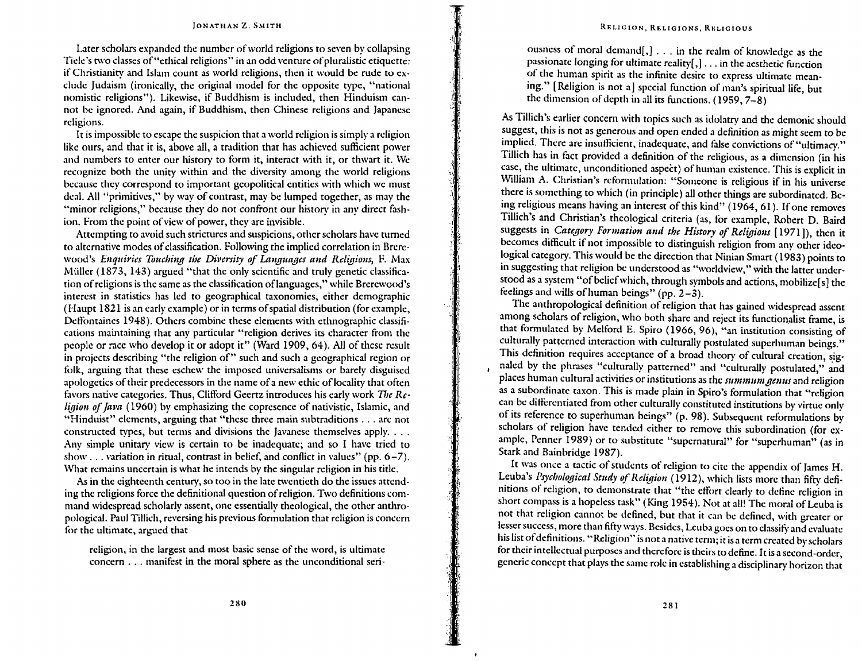#### RELIGION, RELIGIONS, RELIGIOUS

#### JONATIIAN Z. SMITH

Later scholars expanded the number of world religions to seven by collapsing Tide's two classes of "ethical religions" in an odd venture of pluralistic etiquette: if Christianity and Islam count as world religions, then it would be rude to exclude Judaism (ironically, the original model for the opposite type, "national nomistic religions"). Likewise, if Buddhism is included, then Hinduism cannot be ignored. And again, if Buddhism, then Chinese religions and Japanese religions.

.'!

 $\bullet$  .

'1

It is impossible to escape the suspicion that a world religion is simply a religion like ours, and that it is, above all, a tradition that has achieved sufficient power and numbers to enter our history to form it, interact with it, or thwart it. We recognize both the unity within and the diversity among the world religions because they correspond to important geopolitical entities with which we must deal. All "primitives," by way of contrast, may be lumped together, as may the "minor religions," because they do not confront our history in any direct fashion. From the point of view of power, they arc invisible.

Attempting to avoid such strictures and suspicions, other scholars have turned to alternative modes of classification. Following the implied correlation in Brerewood's *Enquiries Touching the Diversity of Languages and Religions*, F. Max Müller (1873, 143) argued "that the only scientific and truly genetic classification of religions is the same as the classification oflanguages," while Brerewood's interest in statistics has led to geographical taxonomies, either demographic (Haupt 1821 is an early example) or in terms of spatial distribution (for example, Deffontaines 1948). Others combine these elements with ethnographic classifications maintaining that any particular "religion derives its character from the people or race who develop it or adopt it" (Ward 1909,64). All of these result in projects describing "the religion of" such and such a geographical region or folk, arguing that these eschew the imposed universalisms or barely disguised apologetics of their predecessors in the name of a new ethic of locality that often favors native categories. Thus, Clifford Geertz introduces his early work *The Religion of Java* (1960) by emphasizing the copresence of nativistic, Islamic, and "Hinduist" elements, arguing that "these three main subtraditions ... arc not constructed types, but terms and divisions the Javanese themselves apply. . .. Any simple unitary view is certain to be inadequate; and so I have tried to show  $\dots$  variation in ritual, contrast in belief, and conflict in values" (pp. 6–7). What remains uncertain is what he intends by the singular religion in his title.

As in the eighteenth century, so too in the late twentieth do the issues attending the religions force the definitional question ofrcligion. Two definitions command widespread scholarly assent, one essentially theological, the other anthropological. Paul Tillich, reversing his previous formulation that religion is concern for the ultimate, argued that

religion, in the largest and most basic sense of the word, is ultimate concern ... manifest in the moral sphere as the unconditional seriousness of moral demand[,]  $\dots$  in the realm of knowledge as the passionate longing for ultimate reality[, $]$ ... in the aesthetic function of the human spirit as the infinite desire to express ultimate meaning." [Religion is not a] special function of man's spiritual life, but the dimension of depth in all its functions.  $(1959, 7-8)$ 

As Tillich's earlier concern with topics such as idolatry and the demonic should suggest, this is not as generous and open ended a definition as might seem to be implied. There are insufficient, inadequate, and false convictions of "ultimacy." Tillich has in fact provided a definition of the religious, as a dimension (in his case, the ultimate, unconditioned aspect) of human existence. This is explicit in William A. Christian's reformulation: "Someone is religious if in his universe there is something to which (in principle) all other things are subordinated. Being religious means having an interest of this kind" (1964, 61). If one removes Tillich's and Christian's theological criteria (as, tor example, Robert D. Baird suggests in *Category Formation and the History of Religions* [1971]), then it becomes difficult if not impossible to distinguish religion from any other ideological category. This would be the direction that Ninian Smart (1983) points to in suggesting that religion be understood as "worldview," with the latter understood as a system "of belief which, through symbols and actions, mobilizefs] the feelings and wills of human beings" (pp.  $2-3$ ).

The anthropological definition of religion that has gained widespread assent among scholars of religion, who both share and reject its functionalist frame, is that formulated by Melford E. Spiro (1966, 96), "an institution consisting of culturally patterned interaction with culturally postulated superhuman beings." This definition requires acceptance of a broad theory of cultural creation, signaled by the phrases "culturally patterned" and "culturally postulated," and places human cultural activities or institutions as the *summum genus* and religion as a subordinate taxon. This is made plain in Spiro's formulation that "religion can be differentiated from other culturally constituted institutions by virtue only of its reference to superhuman beings" (p. 98). Subsequent reformulations by scholars of religion have tended either to remove this subordination (for example, Penner 1989) or to substitute "supernatural" for "superhuman" (as in Stark and Bainbridge 1987).

It was once a tactic of students of religion to cite the appendix of James H. Leuba's Psychological Study of Religion (1912), which lists more than fifty definitions of religion, to demonstrate that "the effort clearly to define religion in short compass is a hopeless task" (King 1954). Not at all! The moral of Leuba is not that religion cannot be defined, but that it can be defined, with greater or lesser success, more than fifty ways. Besides, Leuba goes on to classify and evaluate his list of definitions. "Religion" is not a native term; it is a term created by scholars for their intellectual purposes and therefore is theirs to define. It is a second-order, generic concept that plays the same role in establishing a disciplinary horizon that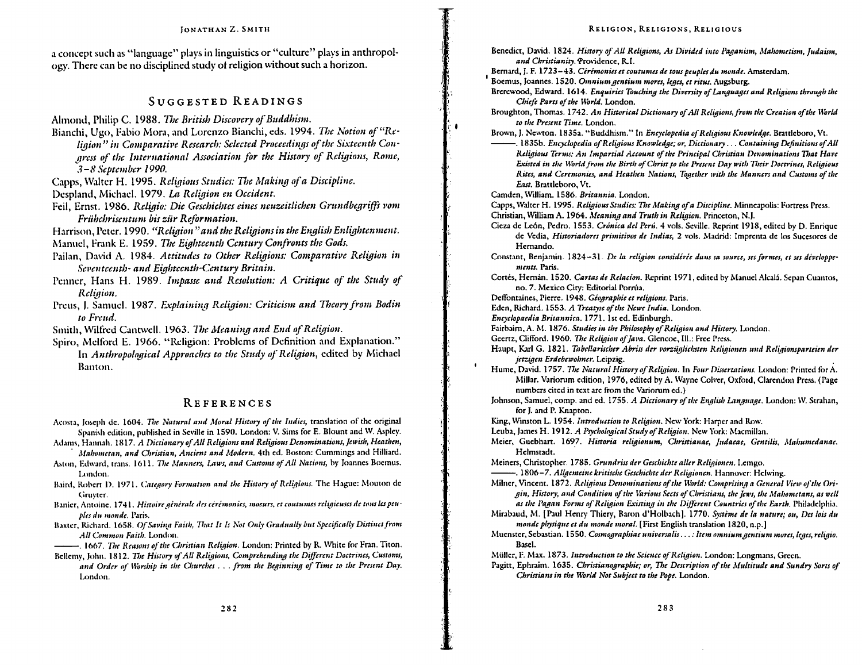a concept such as "language" plays in linguistics or "culture" plays in anthropology. There can be no disciplined study of religion without such a horizon.

#### SUGGESTED READINGS

Almond, Philip C. 1988. The British Discovery of Buddhism.

- Bianchi, Ugo, Fabio Mora, and Lorenzo Bianchi, eds. 1994. The Notion of "Religion" in Comparative Research: Selected Proceedings of the Sixteenth Congress of the International Association for the History of Religions, Rome, 3-8 September 1990.
- Capps, Walter H. 1995. Religious Studies: The Making of a Discipline.
- Despland, Michael. 1979. La Religion en Occident.
- Feil, Ernst. 1986. Religio: Die Geschichtes eines neuzeitlichen Grundbegriffs vom Frühchrisentum bis zür Reformation.
- Harrison, Peter. 1990. "Religion" and the Religions in the English Enlightenment.
- Manuel, Frank E. 1959. The Eighteenth Century Confronts the Gods.
- Pailan, David A. 1984. Attitudes to Other Religions: Comparative Religion in Seventcenth- and Eighteenth-Century Britain.
- Penner, Hans H. 1989. Impasse and Resolution: A Critique of the Study of Religion.
- Preus, J. Samuel. 1987. Explaining Religion: Criticism and Theory from Bodin to Freud.
- Smith, Wilfred Cantwell, 1963. The Meaning and End of Religion.
- Spiro, Melford E. 1966. "Religion: Problems of Definition and Explanation." In Anthropological Approaches to the Study of Religion, edited by Michael Banton.

#### **REFERENCES**

- Acosta, Joseph de. 1604. The Natural and Moral History of the Indies, translation of the original Spanish edition, published in Seville in 1590. London: V. Sims for E. Blount and W. Aspley.
- Adams, Hannah. 1817. A Dictionary of All Religions and Religious Denominations, Jewish, Heathen, Mahometan, and Christian, Ancient and Modern. 4th ed. Boston: Cummings and Hilliard.
- Aston, Edward, trans. 1611. The Manners, Laws, and Customs of All Nations, by Joannes Boemus. London.
- Baird, Robert D. 1971. Category Formation and the History of Religions. The Hague: Mouton de Gruvter.
- Banier, Antoine. 1741. Histoire générale des cérémonies, moeurs, et coutumes religieuses de tous les peuples du monde. Paris.
- Baxter, Richard, 1658. Of Saving Faith, That It Is Not Only Gradually but Specifically Distinct from All Common Faith. London.
- -. 1667. The Reasons of the Christian Religion. London: Printed by R. White for Fran. Titon.
- Bellemy, John. 1812. The History of All Religions, Comprehending the Different Doctrines, Customs, and Order of Worship in the Churches . . . from the Beginning of Time to the Present Day. London.

#### RELIGION, RELIGIONS, RELIGIOUS

- Benedict, David. 1824. History of All Religions, As Divided into Paganism, Mahometism, Judaism, and Christianity. Providence, R.I.
- Bernard, J. F. 1723-43. Cérémonies et coutumes de tous peuples du monde. Amsterdam.
- Boemus, Joannes. 1520. Omnium gentium mores, leges, et ritus. Augsburg.
- Brerewood, Edward. 1614. Enquiries Touching the Diversity of Languages and Religions through the Chiefe Parts of the World. London.
- Broughton, Thomas. 1742. An Historical Dictionary of All Religions, from the Creation of the World to the Present Time. London.

Brown, J. Newton. 1835a. "Buddhism." In Encyclopedia of Religious Knowledge. Brattleboro, Vt.

- -. 1835b. Encyclopedia of Religious Knowledge; or, Dictionary.... Containing Definitions of All Religious Terms: An Impartial Account of the Principal Christian Denominations That Have Existed in the World from the Birth of Christ to the Present Day with Their Doctrines, Religious Rites, and Ceremonies, and Heathen Nations, Together with the Manners and Customs of the East. Brattleboro, Vt.
- Camden, William. 1586. Britannia. London.
- Capps, Walter H. 1995. Religious Studies: The Making of a Discipline. Minneapolis: Fortress Press. Christian, William A. 1964. Meaning and Truth in Religion. Princeton, N.J.
- Cicza de León, Pedro. 1553. Crónica del Perú. 4 vols. Seville. Reprint 1918, edited by D. Enrique de Vedia, Historiadores primitivos de Indias, 2 vols. Madrid: Imprenta de los Sucesores de Hernando.
- Constant, Benjamin. 1824-31. De la religion considérée dans sa source, ses formes, et ses développements. Paris.
- Cortés, Hernán. 1520. Cartas de Relacíon. Reprint 1971, edited by Manuel Alcalá. Sepan Cuantos, no. 7. Mexico City: Editorial Porrúa.

Deffontaines, Pierre. 1948. Géographie et religions. Paris.

Eden, Richard. 1553. A Treatyse of the Newe India. London.

- Encyclopaedia Britannica. 1771. 1st ed. Edinburgh.
- Fairbairn, A. M. 1876. Studies in the Philosophy of Religion and History. London.
- Geertz, Clifford. 1960. The Religion of Java. Glencoe, Ill.: Free Press.
- Haupt, Karl G. 1821. Tabellarischer Abriss der vorzüglichsten Religionen und Religionsparteien der jetzigen Erdebewohner. Leipzig.
- Hume, David. 1757. The Natural History of Religion. In Four Dissertations. London: Printed for A. Millar. Variorum edition, 1976, edited by A. Wayne Colver, Oxford, Clarendon Press. (Page numbers cited in text are from the Variorum ed.)
- Johnson, Samuel, comp. and ed. 1755. A Dictionary of the English Language. London: W. Strahan, for J. and P. Knapton.
- King, Winston L. 1954. Introduction to Religion. New York: Harper and Row.
- Leuba, James H. 1912. A Psychological Study of Religion. New York: Macmillan.
- Meier, Guebhart. 1697. Historia religionum, Christianae, Judaeae, Gentilis, Mahumedanae. Helmstadt.
- Meiners, Christopher. 1785. Grundriss der Geschichte aller Religionen. Lemgo.
- -. 1806-7. Allgemeine kritische Geschichte der Religionen. Hannover: Helwing.
- Milner, Vincent, 1872. Religious Denominations of the World: Comprising a General View of the Origin, History, and Condition of the Various Sects of Christians, the Jews, the Mahometans, as well as the Pagan Forms of Religion Existing in the Different Countries of the Earth. Philadelphia.
- Mirabaud, M. [Paul Henry Thiery, Baron d'Holbach]. 1770. Système de la nature; ou, Des lois du monde physique et du monde moral. [First English translation 1820, n.p.]
- Muenster, Sebastian. 1550. Cosmographiae universalis ...: Item omnium gentium mores, leges, religio. Basel.

Müller, F. Max. 1873. Introduction to the Science of Religion. London: Longmans, Green.

Pagitt, Ephraim. 1635. Christianographie; or, The Description of the Multitude and Sundry Sorts of Christians in the World Not Subject to the Pope. London.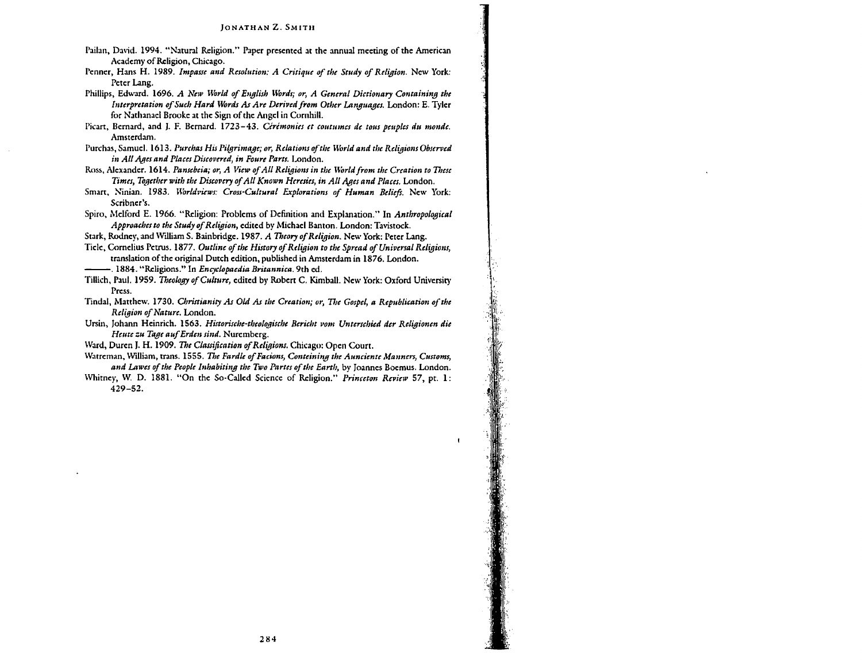- Pailan, David. 1994. "Natural Religion." Paper presented at the annual meeting of the American Academy of Religion, Chicago.
- Penner, Hans H. 1989. Impasse and Resolution: A Critique of the Study of Religion. New York: Peter Lang.
- Phillips, Edward. 1696. A New World of English Words; or, A General Dictionary Containing the Interpretation of Such Hard Words As Are Derived from Other Languages. London: E. Tyler for Nathanael Brooke at the Sign of the Angel in Cornhill.
- Picart, Bernard, and J. F. Bernard. 1723-43. Cérémonies et coutumes de tous peuples du monde. Amsterdam.
- Purchas, Samuel. 1613. Purchas His Pilgrimage; or, Relations of the World and the Religions Observed in All Ages and Places Discovered, in Foure Parts. London.
- Ross, Alexander. 1614. Pansebeia; or, A View of All Religions in the World from the Creation to These Times, Together with the Discovery of All Known Heresies, in All Ages and Places. London.
- Smart, Ninian. 1983. Worldviews: Cross-Cultural Explorations of Human Beliefs. New York: Scribner's.
- Spiro, Melford E. 1966. "Religion: Problems of Definition and Explanation." In Anthropological Approaches to the Study of Religion, edited by Michael Banton. London: Tavistock.
- Stark, Rodney, and William S. Bainbridge. 1987. A Theory of Religion. New York: Peter Lang.
- Ticle, Cornelius Petrus. 1877. Outline of the History of Religion to the Spread of Universal Religions, translation of the original Dutch edition, published in Amsterdam in 1876. London.
- -. 1884. "Religions." In Encyclopaedia Britannica. 9th ed.
- Tillich, Paul. 1959. Theology of Culture, edited by Robert C. Kimball. New York: Oxford University Press.
- Tindal, Matthew. 1730. Christianity As Old As the Creation; or, The Gospel, a Republication of the Religion of Nature, London.
- Ursin, Johann Heinrich. 1563. Historische-theologische Bericht vom Unterschied der Religionen die Heute zu Tage auf Erden sind. Nuremberg.
- Ward, Duren J. H. 1909. The Classification of Religions. Chicago: Open Court.
- Watreman, William, trans. 1555. The Fardle of Facions, Conteining the Aunciente Manners, Customs, and Lawes of the People Inhabiting the Two Partes of the Earth, by Joannes Boemus. London.
- Whitney, W. D. 1881. "On the So-Called Science of Religion." Princeton Review 57, pt. 1:  $429 - 52.$